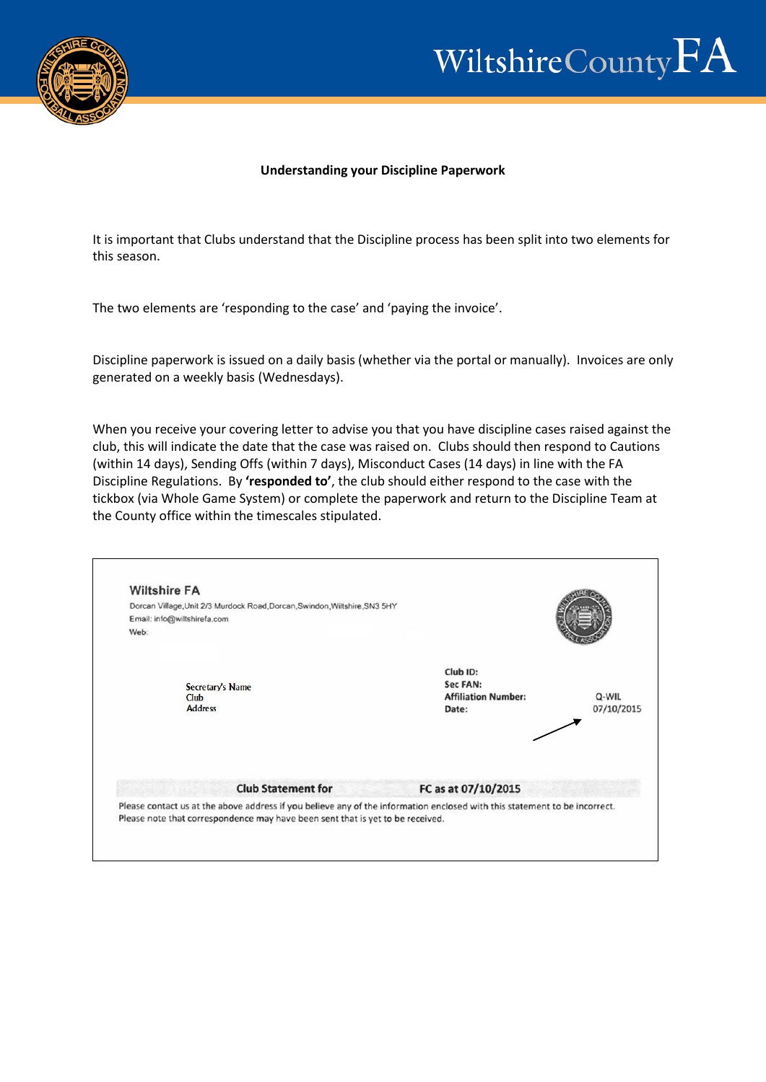

## Wiltshire County  $FA$

## **Understanding your Discipline Paperwork**

It is important that Clubs understand that the Discipline process has been split into two elements for this season.

The two elements are 'responding to the case' and 'paying the invoice'.

Discipline paperwork is issued on a daily basis (whether via the portal or manually). Invoices are only generated on a weekly basis (Wednesdays).

When you receive your covering letter to advise you that you have discipline cases raised against the club, this will indicate the date that the case was raised on. Clubs should then respond to Cautions (within 14 days), Sending Offs (within 7 days), Misconduct Cases (14 days) in line with the FA Discipline Regulations. By **'responded to'**, the club should either respond to the case with the tickbox (via Whole Game System) or complete the paperwork and return to the Discipline Team at the County office within the timescales stipulated.

| <b>Wiltshire FA</b><br>Dorcan Village, Unit 2/3 Murdock Road, Dorcan, Swindon, Wiltshire, SN3 5HY<br>Email: info@wiltshirefa.com<br>Web:                                                                                                  |                                                             |                     |
|-------------------------------------------------------------------------------------------------------------------------------------------------------------------------------------------------------------------------------------------|-------------------------------------------------------------|---------------------|
| Secretary's Name<br>Club<br><b>Address</b>                                                                                                                                                                                                | Club ID:<br>Sec FAN:<br><b>Affiliation Number:</b><br>Date: | Q-WIL<br>07/10/2015 |
| <b>Club Statement for</b><br>Please contact us at the above address if you believe any of the information enclosed with this statement to be incorrect.<br>Please note that correspondence may have been sent that is yet to be received. | FC as at 07/10/2015                                         |                     |